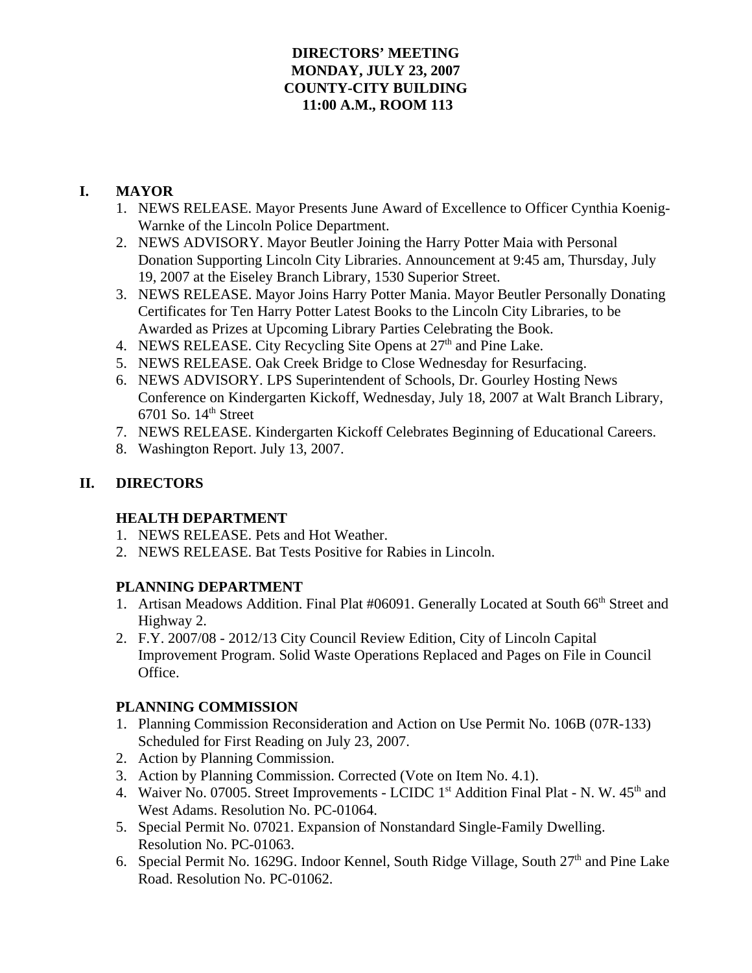#### **DIRECTORS' MEETING MONDAY, JULY 23, 2007 COUNTY-CITY BUILDING 11:00 A.M., ROOM 113**

## **I. MAYOR**

- 1. NEWS RELEASE. Mayor Presents June Award of Excellence to Officer Cynthia Koenig-Warnke of the Lincoln Police Department.
- 2. NEWS ADVISORY. Mayor Beutler Joining the Harry Potter Maia with Personal Donation Supporting Lincoln City Libraries. Announcement at 9:45 am, Thursday, July 19, 2007 at the Eiseley Branch Library, 1530 Superior Street.
- 3. NEWS RELEASE. Mayor Joins Harry Potter Mania. Mayor Beutler Personally Donating Certificates for Ten Harry Potter Latest Books to the Lincoln City Libraries, to be Awarded as Prizes at Upcoming Library Parties Celebrating the Book.
- 4. NEWS RELEASE. City Recycling Site Opens at 27<sup>th</sup> and Pine Lake.
- 5. NEWS RELEASE. Oak Creek Bridge to Close Wednesday for Resurfacing.
- 6. NEWS ADVISORY. LPS Superintendent of Schools, Dr. Gourley Hosting News Conference on Kindergarten Kickoff, Wednesday, July 18, 2007 at Walt Branch Library,  $6701$  So.  $14<sup>th</sup>$  Street
- 7. NEWS RELEASE. Kindergarten Kickoff Celebrates Beginning of Educational Careers.
- 8. Washington Report. July 13, 2007.

## **II. DIRECTORS**

### **HEALTH DEPARTMENT**

- 1. NEWS RELEASE. Pets and Hot Weather.
- 2. NEWS RELEASE. Bat Tests Positive for Rabies in Lincoln.

### **PLANNING DEPARTMENT**

- 1. Artisan Meadows Addition. Final Plat #06091. Generally Located at South 66<sup>th</sup> Street and Highway 2.
- 2. F.Y. 2007/08 2012/13 City Council Review Edition, City of Lincoln Capital Improvement Program. Solid Waste Operations Replaced and Pages on File in Council Office.

### **PLANNING COMMISSION**

- 1. Planning Commission Reconsideration and Action on Use Permit No. 106B (07R-133) Scheduled for First Reading on July 23, 2007.
- 2. Action by Planning Commission.
- 3. Action by Planning Commission. Corrected (Vote on Item No. 4.1).
- 4. Waiver No. 07005. Street Improvements LCIDC 1<sup>st</sup> Addition Final Plat N. W. 45<sup>th</sup> and West Adams. Resolution No. PC-01064.
- 5. Special Permit No. 07021. Expansion of Nonstandard Single-Family Dwelling. Resolution No. PC-01063.
- 6. Special Permit No. 1629G. Indoor Kennel, South Ridge Village, South  $27<sup>th</sup>$  and Pine Lake Road. Resolution No. PC-01062.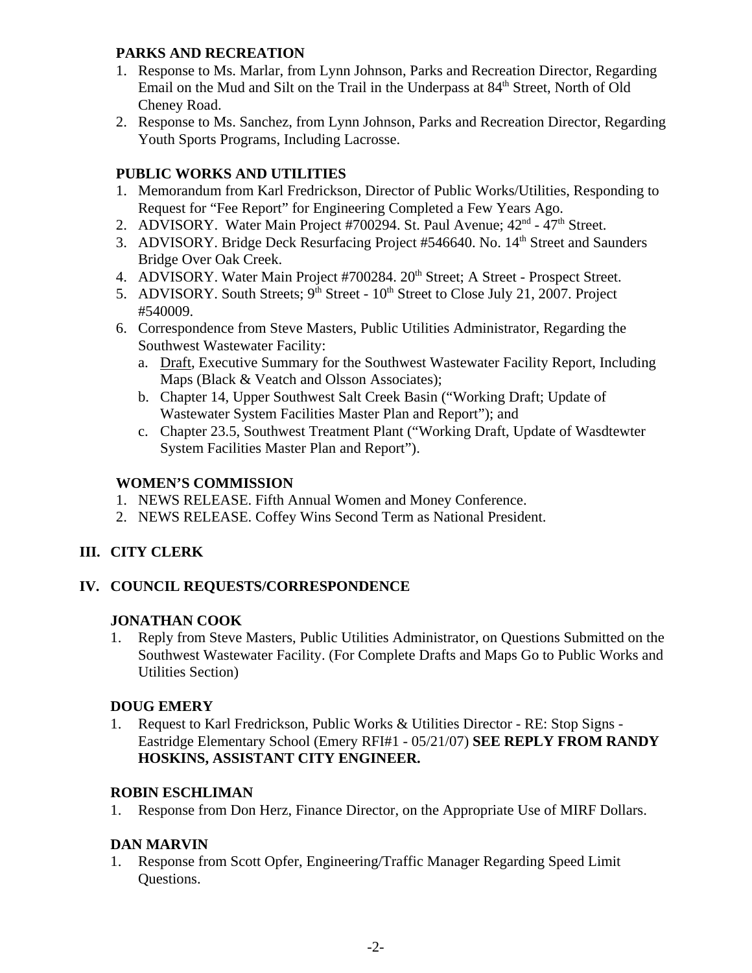#### **PARKS AND RECREATION**

- 1. Response to Ms. Marlar, from Lynn Johnson, Parks and Recreation Director, Regarding Email on the Mud and Silt on the Trail in the Underpass at  $84<sup>th</sup>$  Street, North of Old Cheney Road.
- 2. Response to Ms. Sanchez, from Lynn Johnson, Parks and Recreation Director, Regarding Youth Sports Programs, Including Lacrosse.

# **PUBLIC WORKS AND UTILITIES**

- 1. Memorandum from Karl Fredrickson, Director of Public Works/Utilities, Responding to Request for "Fee Report" for Engineering Completed a Few Years Ago.
- 2. ADVISORY. Water Main Project #700294. St. Paul Avenue; 42<sup>nd</sup> 47<sup>th</sup> Street.
- 3. ADVISORY. Bridge Deck Resurfacing Project #546640. No. 14<sup>th</sup> Street and Saunders Bridge Over Oak Creek.
- 4. ADVISORY. Water Main Project #700284. 20<sup>th</sup> Street; A Street Prospect Street.
- 5. ADVISORY. South Streets;  $9<sup>th</sup>$  Street  $10<sup>th</sup>$  Street to Close July 21, 2007. Project #540009.
- 6. Correspondence from Steve Masters, Public Utilities Administrator, Regarding the Southwest Wastewater Facility:
	- a. Draft, Executive Summary for the Southwest Wastewater Facility Report, Including Maps (Black & Veatch and Olsson Associates);
	- b. Chapter 14, Upper Southwest Salt Creek Basin ("Working Draft; Update of Wastewater System Facilities Master Plan and Report"); and
	- c. Chapter 23.5, Southwest Treatment Plant ("Working Draft, Update of Wasdtewter System Facilities Master Plan and Report").

## **WOMEN'S COMMISSION**

- 1. NEWS RELEASE. Fifth Annual Women and Money Conference.
- 2. NEWS RELEASE. Coffey Wins Second Term as National President.

### **III. CITY CLERK**

### **IV. COUNCIL REQUESTS/CORRESPONDENCE**

#### **JONATHAN COOK**

1. Reply from Steve Masters, Public Utilities Administrator, on Questions Submitted on the Southwest Wastewater Facility. (For Complete Drafts and Maps Go to Public Works and Utilities Section)

### **DOUG EMERY**

1. Request to Karl Fredrickson, Public Works & Utilities Director - RE: Stop Signs - Eastridge Elementary School (Emery RFI#1 - 05/21/07) **SEE REPLY FROM RANDY HOSKINS, ASSISTANT CITY ENGINEER.**

### **ROBIN ESCHLIMAN**

1. Response from Don Herz, Finance Director, on the Appropriate Use of MIRF Dollars.

### **DAN MARVIN**

1. Response from Scott Opfer, Engineering/Traffic Manager Regarding Speed Limit Questions.